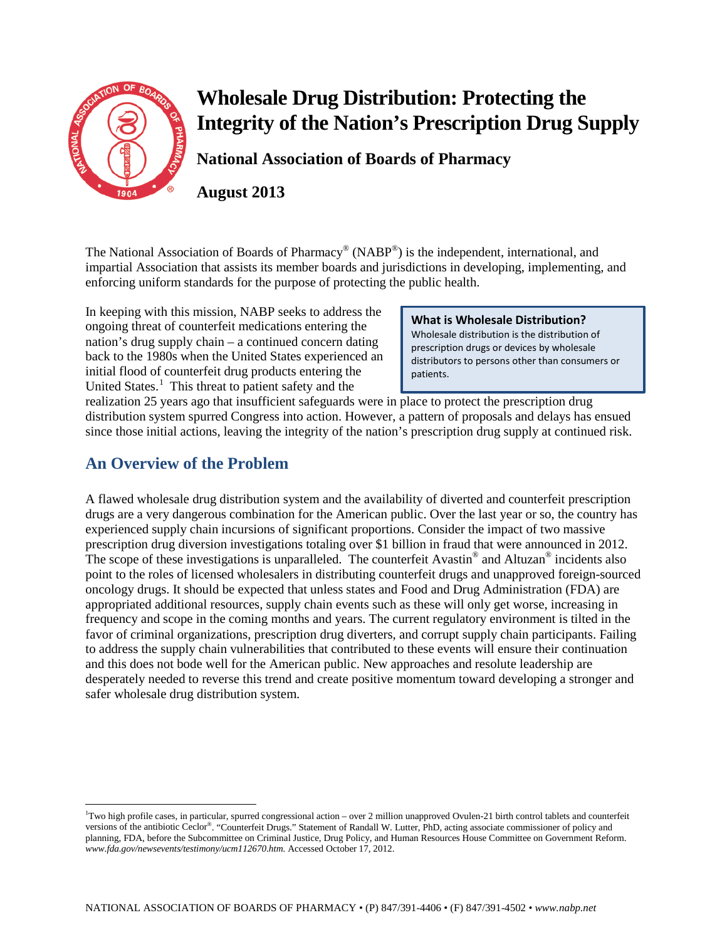

**National Association of Boards of Pharmacy** 

**August 2013**

The National Association of Boards of Pharmacy<sup>®</sup> (NABP<sup>®</sup>) is the independent, international, and impartial Association that assists its member boards and jurisdictions in developing, implementing, and enforcing uniform standards for the purpose of protecting the public health.

In keeping with this mission, NABP seeks to address the ongoing threat of counterfeit medications entering the nation's drug supply chain – a continued concern dating back to the 1980s when the United States experienced an initial flood of counterfeit drug products entering the United States.<sup>[1](#page-0-0)</sup> This threat to patient safety and the

**What is Wholesale Distribution?** Wholesale distribution is the distribution of prescription drugs or devices by wholesale distributors to persons other than consumers or patients.

realization 25 years ago that insufficient safeguards were in place to protect the prescription drug distribution system spurred Congress into action. However, a pattern of proposals and delays has ensued since those initial actions, leaving the integrity of the nation's prescription drug supply at continued risk.

# **An Overview of the Problem**

 $\overline{\phantom{a}}$ 

A flawed wholesale drug distribution system and the availability of diverted and counterfeit prescription drugs are a very dangerous combination for the American public. Over the last year or so, the country has experienced supply chain incursions of significant proportions. Consider the impact of two massive prescription drug diversion investigations totaling over \$1 billion in fraud that were announced in 2012. The scope of these investigations is unparalleled. The counterfeit Avastin<sup>®</sup> and Altuzan<sup>®</sup> incidents also point to the roles of licensed wholesalers in distributing counterfeit drugs and unapproved foreign-sourced oncology drugs. It should be expected that unless states and Food and Drug Administration (FDA) are appropriated additional resources, supply chain events such as these will only get worse, increasing in frequency and scope in the coming months and years. The current regulatory environment is tilted in the favor of criminal organizations, prescription drug diverters, and corrupt supply chain participants. Failing to address the supply chain vulnerabilities that contributed to these events will ensure their continuation and this does not bode well for the American public. New approaches and resolute leadership are desperately needed to reverse this trend and create positive momentum toward developing a stronger and safer wholesale drug distribution system.

<span id="page-0-0"></span><sup>1</sup> Two high profile cases, in particular, spurred congressional action – over 2 million unapproved Ovulen-21 birth control tablets and counterfeit versions of the antibiotic Ceclor®. "Counterfeit Drugs." Statement of Randall W. Lutter, PhD, acting associate commissioner of policy and planning, FDA, before the Subcommittee on Criminal Justice, Drug Policy, and Human Resources House Committee on Government Reform. *www.fda.gov/newsevents/testimony/ucm112670.htm.* Accessed October 17, 2012.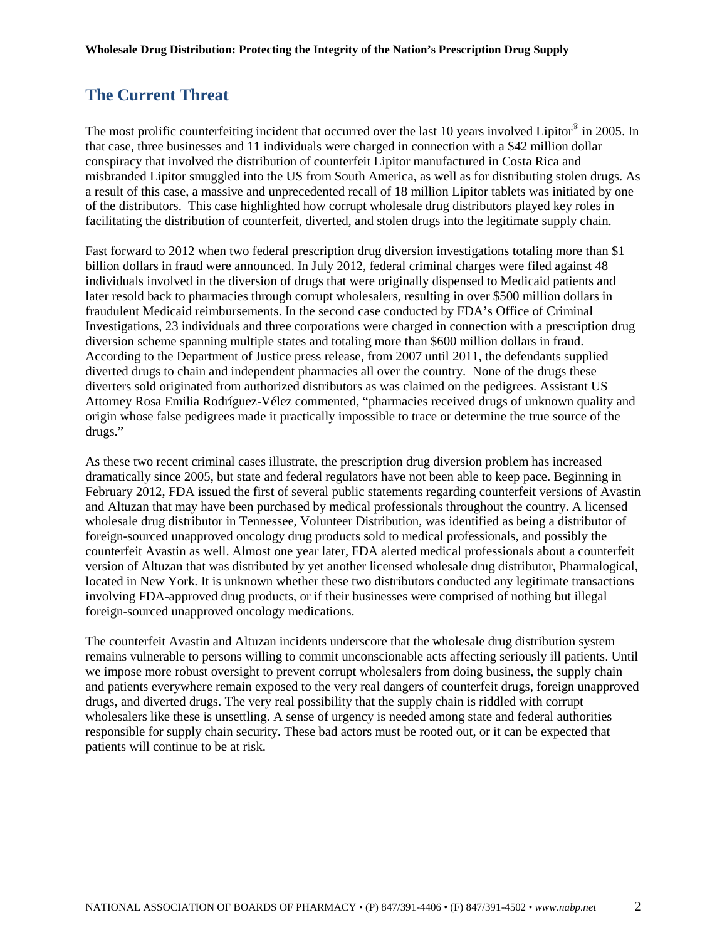# **The Current Threat**

The most prolific counterfeiting incident that occurred over the last 10 years involved Lipitor<sup>®</sup> in 2005. In that case, three businesses and 11 individuals were charged in connection with a \$42 million dollar conspiracy that involved the distribution of counterfeit Lipitor manufactured in Costa Rica and misbranded Lipitor smuggled into the US from South America, as well as for distributing stolen drugs. As a result of this case, a massive and unprecedented recall of 18 million Lipitor tablets was initiated by one of the distributors. This case highlighted how corrupt wholesale drug distributors played key roles in facilitating the distribution of counterfeit, diverted, and stolen drugs into the legitimate supply chain.

Fast forward to 2012 when two federal prescription drug diversion investigations totaling more than \$1 billion dollars in fraud were announced. In July 2012, federal criminal charges were filed against 48 individuals involved in the diversion of drugs that were originally dispensed to Medicaid patients and later resold back to pharmacies through corrupt wholesalers, resulting in over \$500 million dollars in fraudulent Medicaid reimbursements. In the second case conducted by FDA's Office of Criminal Investigations, 23 individuals and three corporations were charged in connection with a prescription drug diversion scheme spanning multiple states and totaling more than \$600 million dollars in fraud. According to the Department of Justice press release, from 2007 until 2011, the defendants supplied diverted drugs to chain and independent pharmacies all over the country. None of the drugs these diverters sold originated from authorized distributors as was claimed on the pedigrees. Assistant US Attorney Rosa Emilia Rodríguez-Vélez commented, "pharmacies received drugs of unknown quality and origin whose false pedigrees made it practically impossible to trace or determine the true source of the drugs."

As these two recent criminal cases illustrate, the prescription drug diversion problem has increased dramatically since 2005, but state and federal regulators have not been able to keep pace. Beginning in February 2012, FDA issued the first of several public statements regarding counterfeit versions of Avastin and Altuzan that may have been purchased by medical professionals throughout the country. A licensed wholesale drug distributor in Tennessee, Volunteer Distribution, was identified as being a distributor of foreign-sourced unapproved oncology drug products sold to medical professionals, and possibly the counterfeit Avastin as well. Almost one year later, FDA alerted medical professionals about a counterfeit version of Altuzan that was distributed by yet another licensed wholesale drug distributor, Pharmalogical, located in New York. It is unknown whether these two distributors conducted any legitimate transactions involving FDA-approved drug products, or if their businesses were comprised of nothing but illegal foreign-sourced unapproved oncology medications.

The counterfeit Avastin and Altuzan incidents underscore that the wholesale drug distribution system remains vulnerable to persons willing to commit unconscionable acts affecting seriously ill patients. Until we impose more robust oversight to prevent corrupt wholesalers from doing business, the supply chain and patients everywhere remain exposed to the very real dangers of counterfeit drugs, foreign unapproved drugs, and diverted drugs. The very real possibility that the supply chain is riddled with corrupt wholesalers like these is unsettling. A sense of urgency is needed among state and federal authorities responsible for supply chain security. These bad actors must be rooted out, or it can be expected that patients will continue to be at risk.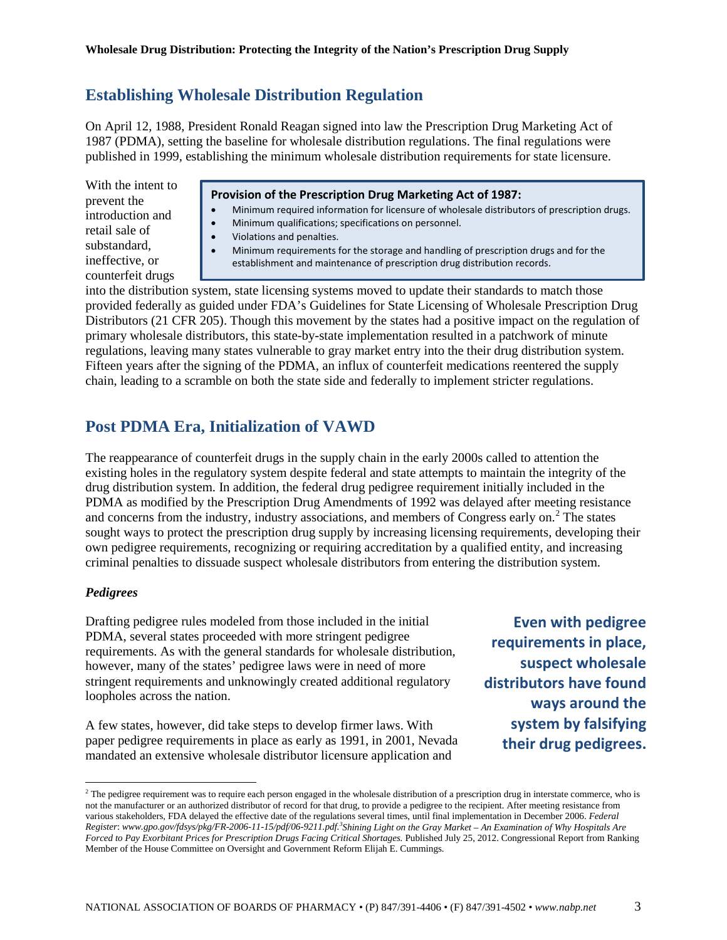## **Establishing Wholesale Distribution Regulation**

On April 12, 1988, President Ronald Reagan signed into law the Prescription Drug Marketing Act of 1987 (PDMA), setting the baseline for wholesale distribution regulations. The final regulations were published in 1999, establishing the minimum wholesale distribution requirements for state licensure.

With the intent to prevent the introduction and retail sale of substandard, ineffective, or counterfeit drugs

#### **Provision of the Prescription Drug Marketing Act of 1987:**

- Minimum required information for licensure of wholesale distributors of prescription drugs.
- Minimum qualifications; specifications on personnel.
- Violations and penalties.
- Minimum requirements for the storage and handling of prescription drugs and for the establishment and maintenance of prescription drug distribution records.

into the distribution system, state licensing systems moved to update their standards to match those provided federally as guided under FDA's Guidelines for State Licensing of Wholesale Prescription Drug Distributors (21 CFR 205). Though this movement by the states had a positive impact on the regulation of primary wholesale distributors, this state-by-state implementation resulted in a patchwork of minute regulations, leaving many states vulnerable to gray market entry into the their drug distribution system. Fifteen years after the signing of the PDMA, an influx of counterfeit medications reentered the supply chain, leading to a scramble on both the state side and federally to implement stricter regulations.

# **Post PDMA Era, Initialization of VAWD**

The reappearance of counterfeit drugs in the supply chain in the early 2000s called to attention the existing holes in the regulatory system despite federal and state attempts to maintain the integrity of the drug distribution system. In addition, the federal drug pedigree requirement initially included in the PDMA as modified by the Prescription Drug Amendments of 1992 was delayed after meeting resistance and concerns from the industry, industry associations, and members of Congress early on.<sup>[2](#page-0-0)</sup> The states sought ways to protect the prescription drug supply by increasing licensing requirements, developing their own pedigree requirements, recognizing or requiring accreditation by a qualified entity, and increasing criminal penalties to dissuade suspect wholesale distributors from entering the distribution system.

### *Pedigrees*

 $\overline{\phantom{a}}$ 

Drafting pedigree rules modeled from those included in the initial PDMA, several states proceeded with more stringent pedigree requirements. As with the general standards for wholesale distribution, however, many of the states' pedigree laws were in need of more stringent requirements and unknowingly created additional regulatory loopholes across the nation.

A few states, however, did take steps to develop firmer laws. With paper pedigree requirements in place as early as 1991, in 2001, Nevada mandated an extensive wholesale distributor licensure application and

**Even with pedigree requirements in place, suspect wholesale distributors have found ways around the system by falsifying their drug pedigrees.**

<span id="page-2-0"></span><sup>&</sup>lt;sup>2</sup> The pedigree requirement was to require each person engaged in the wholesale distribution of a prescription drug in interstate commerce, who is not the manufacturer or an authorized distributor of record for that drug, to provide a pedigree to the recipient. After meeting resistance from various stakeholders, FDA delayed the effective date of the regulations several times, until final implementation in December 2006. *Federal Register*: *www.gpo.gov/fdsys/pkg/FR-2006-11-15/pdf/06-9211.pdf. 3 Shining Light on the Gray Market – An Examination of Why Hospitals Are Forced to Pay Exorbitant Prices for Prescription Drugs Facing Critical Shortages.* Published July 25, 2012. Congressional Report from Ranking Member of the House Committee on Oversight and Government Reform Elijah E. Cummings.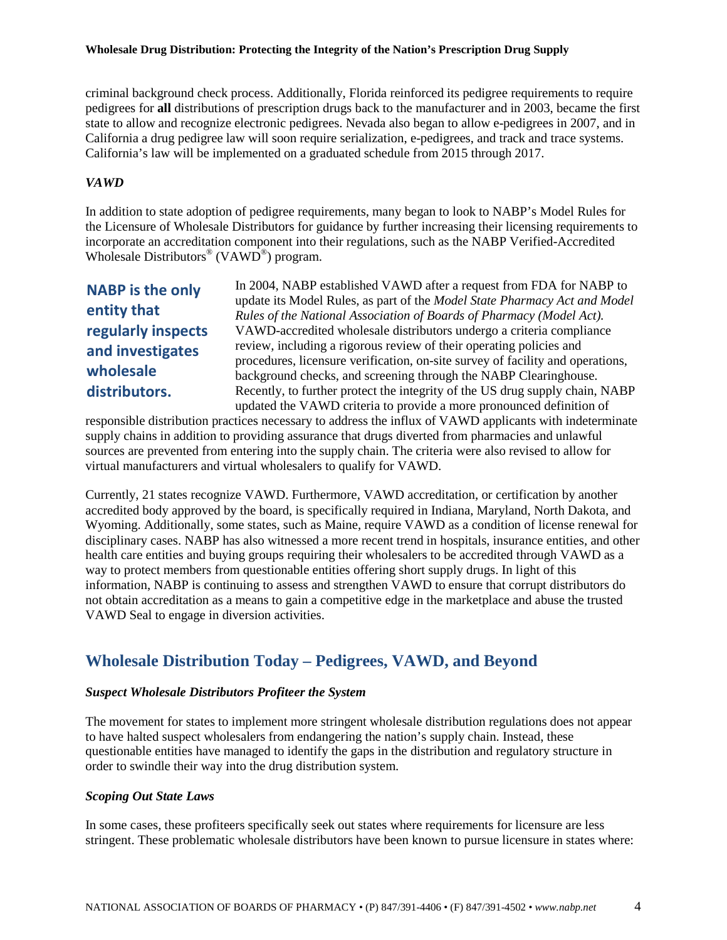criminal background check process. Additionally, Florida reinforced its pedigree requirements to require pedigrees for **all** distributions of prescription drugs back to the manufacturer and in 2003, became the first state to allow and recognize electronic pedigrees. Nevada also began to allow e-pedigrees in 2007, and in California a drug pedigree law will soon require serialization, e-pedigrees, and track and trace systems. California's law will be implemented on a graduated schedule from 2015 through 2017.

### *VAWD*

In addition to state adoption of pedigree requirements, many began to look to NABP's Model Rules for the Licensure of Wholesale Distributors for guidance by further increasing their licensing requirements to incorporate an accreditation component into their regulations, such as the NABP Verified-Accredited Wholesale Distributors<sup>®</sup> (VAWD<sup>®</sup>) program.

**NABP is the only entity that regularly inspects and investigates wholesale distributors.**

In 2004, NABP established VAWD after a request from FDA for NABP to update its Model Rules, as part of the *Model State Pharmacy Act and Model Rules of the National Association of Boards of Pharmacy (Model Act).*  VAWD-accredited wholesale distributors undergo a criteria compliance review, including a rigorous review of their operating policies and procedures, licensure verification, on-site survey of facility and operations, background checks, and screening through the NABP Clearinghouse. Recently, to further protect the integrity of the US drug supply chain, NABP updated the VAWD criteria to provide a more pronounced definition of

responsible distribution practices necessary to address the influx of VAWD applicants with indeterminate supply chains in addition to providing assurance that drugs diverted from pharmacies and unlawful sources are prevented from entering into the supply chain. The criteria were also revised to allow for virtual manufacturers and virtual wholesalers to qualify for VAWD.

Currently, 21 states recognize VAWD. Furthermore, VAWD accreditation, or certification by another accredited body approved by the board, is specifically required in Indiana, Maryland, North Dakota, and Wyoming. Additionally, some states, such as Maine, require VAWD as a condition of license renewal for disciplinary cases. NABP has also witnessed a more recent trend in hospitals, insurance entities, and other health care entities and buying groups requiring their wholesalers to be accredited through VAWD as a way to protect members from questionable entities offering short supply drugs. In light of this information, NABP is continuing to assess and strengthen VAWD to ensure that corrupt distributors do not obtain accreditation as a means to gain a competitive edge in the marketplace and abuse the trusted VAWD Seal to engage in diversion activities.

# **Wholesale Distribution Today – Pedigrees, VAWD, and Beyond**

### *Suspect Wholesale Distributors Profiteer the System*

The movement for states to implement more stringent wholesale distribution regulations does not appear to have halted suspect wholesalers from endangering the nation's supply chain. Instead, these questionable entities have managed to identify the gaps in the distribution and regulatory structure in order to swindle their way into the drug distribution system.

### *Scoping Out State Laws*

In some cases, these profiteers specifically seek out states where requirements for licensure are less stringent. These problematic wholesale distributors have been known to pursue licensure in states where: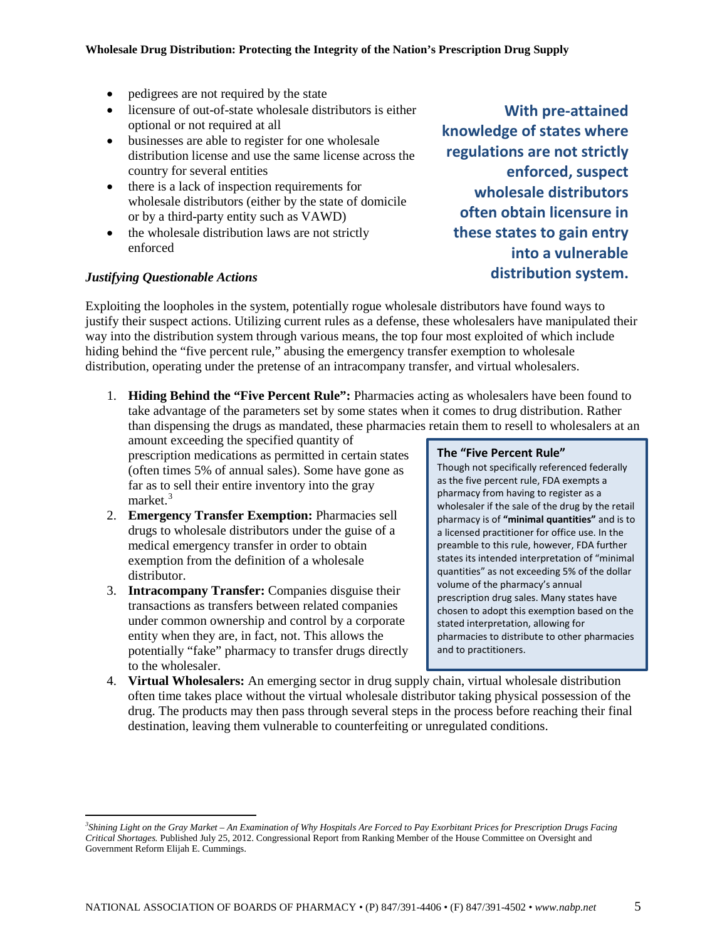- pedigrees are not required by the state
- licensure of out-of-state wholesale distributors is either optional or not required at all
- businesses are able to register for one wholesale distribution license and use the same license across the country for several entities
- there is a lack of inspection requirements for wholesale distributors (either by the state of domicile or by a third-party entity such as VAWD)
- the wholesale distribution laws are not strictly enforced

### *Justifying Questionable Actions*

l

Exploiting the loopholes in the system, potentially rogue wholesale distributors have found ways to justify their suspect actions. Utilizing current rules as a defense, these wholesalers have manipulated their way into the distribution system through various means, the top four most exploited of which include hiding behind the "five percent rule," abusing the emergency transfer exemption to wholesale distribution, operating under the pretense of an intracompany transfer, and virtual wholesalers.

1. **Hiding Behind the "Five Percent Rule":** Pharmacies acting as wholesalers have been found to take advantage of the parameters set by some states when it comes to drug distribution. Rather than dispensing the drugs as mandated, these pharmacies retain them to resell to wholesalers at an

amount exceeding the specified quantity of prescription medications as permitted in certain states (often times 5% of annual sales). Some have gone as far as to sell their entire inventory into the gray market.<sup>[3](#page-2-0)</sup>

- 2. **Emergency Transfer Exemption:** Pharmacies sell drugs to wholesale distributors under the guise of a medical emergency transfer in order to obtain exemption from the definition of a wholesale distributor.
- 3. **Intracompany Transfer:** Companies disguise their transactions as transfers between related companies under common ownership and control by a corporate entity when they are, in fact, not. This allows the potentially "fake" pharmacy to transfer drugs directly to the wholesaler.

#### **The "Five Percent Rule"**

Though not specifically referenced federally as the five percent rule, FDA exempts a pharmacy from having to register as a wholesaler if the sale of the drug by the retail pharmacy is of **"minimal quantities"** and is to a licensed practitioner for office use. In the preamble to this rule, however, FDA further states its intended interpretation of "minimal quantities" as not exceeding 5% of the dollar volume of the pharmacy's annual prescription drug sales. Many states have chosen to adopt this exemption based on the stated interpretation, allowing for pharmacies to distribute to other pharmacies and to practitioners.

4. **Virtual Wholesalers:** An emerging sector in drug supply chain, virtual wholesale distribution often time takes place without the virtual wholesale distributor taking physical possession of the drug. The products may then pass through several steps in the process before reaching their final destination, leaving them vulnerable to counterfeiting or unregulated conditions.

**With pre-attained knowledge of states where regulations are not strictly enforced, suspect wholesale distributors often obtain licensure in these states to gain entry into a vulnerable distribution system.**

<span id="page-4-0"></span>*<sup>3</sup> Shining Light on the Gray Market – An Examination of Why Hospitals Are Forced to Pay Exorbitant Prices for Prescription Drugs Facing Critical Shortages.* Published July 25, 2012. Congressional Report from Ranking Member of the House Committee on Oversight and Government Reform Elijah E. Cummings.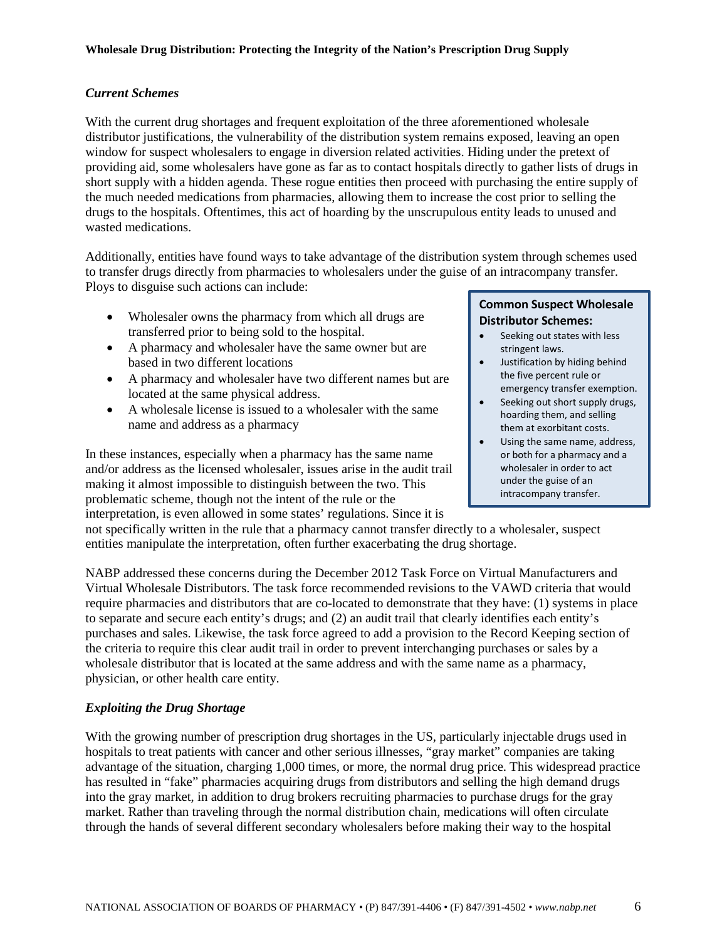### *Current Schemes*

With the current drug shortages and frequent exploitation of the three aforementioned wholesale distributor justifications, the vulnerability of the distribution system remains exposed, leaving an open window for suspect wholesalers to engage in diversion related activities. Hiding under the pretext of providing aid, some wholesalers have gone as far as to contact hospitals directly to gather lists of drugs in short supply with a hidden agenda. These rogue entities then proceed with purchasing the entire supply of the much needed medications from pharmacies, allowing them to increase the cost prior to selling the drugs to the hospitals. Oftentimes, this act of hoarding by the unscrupulous entity leads to unused and wasted medications.

Additionally, entities have found ways to take advantage of the distribution system through schemes used to transfer drugs directly from pharmacies to wholesalers under the guise of an intracompany transfer. Ploys to disguise such actions can include:

- Wholesaler owns the pharmacy from which all drugs are transferred prior to being sold to the hospital.
- A pharmacy and wholesaler have the same owner but are based in two different locations
- A pharmacy and wholesaler have two different names but are located at the same physical address.
- A wholesale license is issued to a wholesaler with the same name and address as a pharmacy

In these instances, especially when a pharmacy has the same name and/or address as the licensed wholesaler, issues arise in the audit trail making it almost impossible to distinguish between the two. This problematic scheme, though not the intent of the rule or the interpretation, is even allowed in some states' regulations. Since it is

### **Common Suspect Wholesale Distributor Schemes:**

- Seeking out states with less stringent laws.
- Justification by hiding behind the five percent rule or emergency transfer exemption.
- Seeking out short supply drugs, hoarding them, and selling them at exorbitant costs.
- Using the same name, address, or both for a pharmacy and a wholesaler in order to act under the guise of an intracompany transfer.

not specifically written in the rule that a pharmacy cannot transfer directly to a wholesaler, suspect entities manipulate the interpretation, often further exacerbating the drug shortage.

NABP addressed these concerns during the December 2012 Task Force on Virtual Manufacturers and Virtual Wholesale Distributors. The task force recommended revisions to the VAWD criteria that would require pharmacies and distributors that are co-located to demonstrate that they have: (1) systems in place to separate and secure each entity's drugs; and (2) an audit trail that clearly identifies each entity's purchases and sales. Likewise, the task force agreed to add a provision to the Record Keeping section of the criteria to require this clear audit trail in order to prevent interchanging purchases or sales by a wholesale distributor that is located at the same address and with the same name as a pharmacy, physician, or other health care entity.

### *Exploiting the Drug Shortage*

With the growing number of prescription drug shortages in the US, particularly injectable drugs used in hospitals to treat patients with cancer and other serious illnesses, "gray market" companies are taking advantage of the situation, charging 1,000 times, or more, the normal drug price. This widespread practice has resulted in "fake" pharmacies acquiring drugs from distributors and selling the high demand drugs into the gray market, in addition to drug brokers recruiting pharmacies to purchase drugs for the gray market. Rather than traveling through the normal distribution chain, medications will often circulate through the hands of several different secondary wholesalers before making their way to the hospital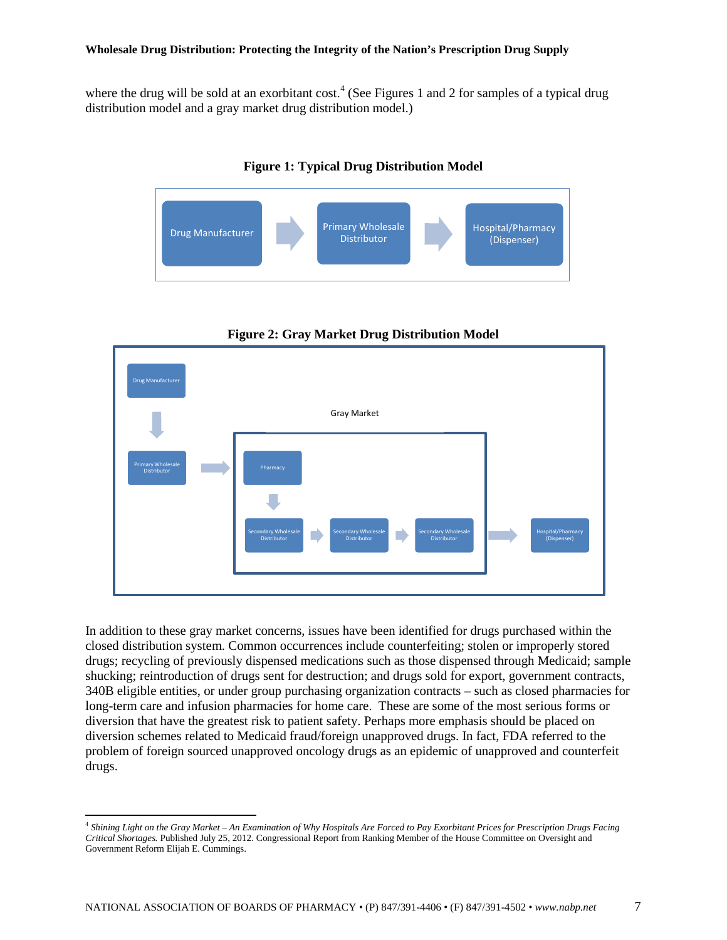where the drug will be sold at an exorbitant cost.<sup>[4](#page-4-0)</sup> (See Figures 1 and 2 for samples of a typical drug distribution model and a gray market drug distribution model.)



**Figure 1: Typical Drug Distribution Model**



**Figure 2: Gray Market Drug Distribution Model**

In addition to these gray market concerns, issues have been identified for drugs purchased within the closed distribution system. Common occurrences include counterfeiting; stolen or improperly stored drugs; recycling of previously dispensed medications such as those dispensed through Medicaid; sample shucking; reintroduction of drugs sent for destruction; and drugs sold for export, government contracts, 340B eligible entities, or under group purchasing organization contracts – such as closed pharmacies for long-term care and infusion pharmacies for home care. These are some of the most serious forms or diversion that have the greatest risk to patient safety. Perhaps more emphasis should be placed on diversion schemes related to Medicaid fraud/foreign unapproved drugs. In fact, FDA referred to the problem of foreign sourced unapproved oncology drugs as an epidemic of unapproved and counterfeit drugs.

l

<span id="page-6-0"></span><sup>4</sup> *Shining Light on the Gray Market – An Examination of Why Hospitals Are Forced to Pay Exorbitant Prices for Prescription Drugs Facing Critical Shortages.* Published July 25, 2012. Congressional Report from Ranking Member of the House Committee on Oversight and Government Reform Elijah E. Cummings.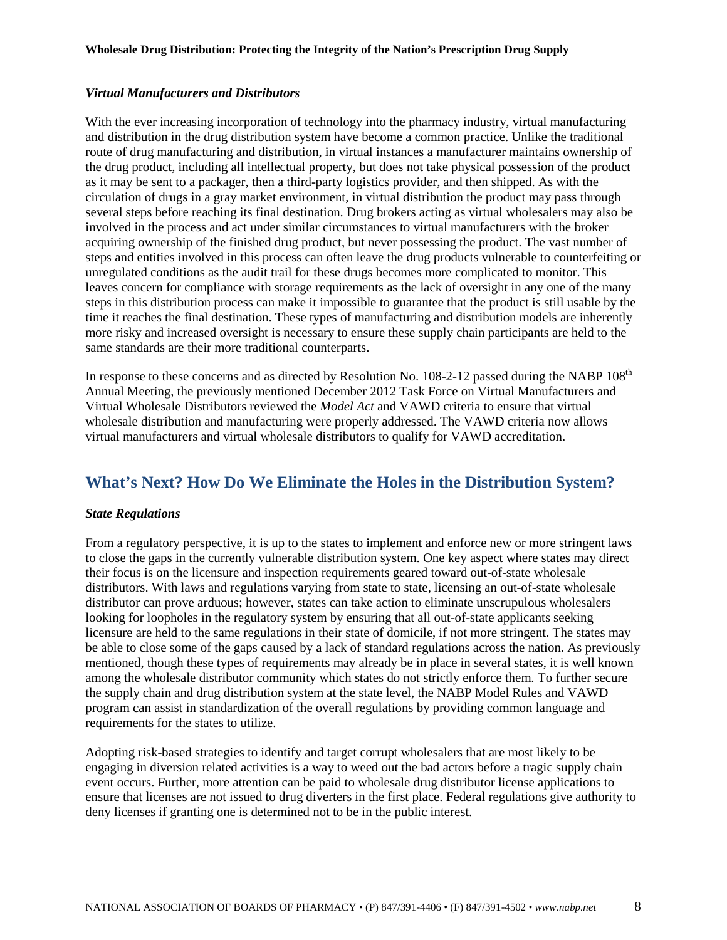#### *Virtual Manufacturers and Distributors*

With the ever increasing incorporation of technology into the pharmacy industry, virtual manufacturing and distribution in the drug distribution system have become a common practice. Unlike the traditional route of drug manufacturing and distribution, in virtual instances a manufacturer maintains ownership of the drug product, including all intellectual property, but does not take physical possession of the product as it may be sent to a packager, then a third-party logistics provider, and then shipped. As with the circulation of drugs in a gray market environment, in virtual distribution the product may pass through several steps before reaching its final destination. Drug brokers acting as virtual wholesalers may also be involved in the process and act under similar circumstances to virtual manufacturers with the broker acquiring ownership of the finished drug product, but never possessing the product. The vast number of steps and entities involved in this process can often leave the drug products vulnerable to counterfeiting or unregulated conditions as the audit trail for these drugs becomes more complicated to monitor. This leaves concern for compliance with storage requirements as the lack of oversight in any one of the many steps in this distribution process can make it impossible to guarantee that the product is still usable by the time it reaches the final destination. These types of manufacturing and distribution models are inherently more risky and increased oversight is necessary to ensure these supply chain participants are held to the same standards are their more traditional counterparts.

In response to these concerns and as directed by Resolution No. 108-2-12 passed during the NABP 108<sup>th</sup> Annual Meeting, the previously mentioned December 2012 Task Force on Virtual Manufacturers and Virtual Wholesale Distributors reviewed the *Model Act* and VAWD criteria to ensure that virtual wholesale distribution and manufacturing were properly addressed. The VAWD criteria now allows virtual manufacturers and virtual wholesale distributors to qualify for VAWD accreditation.

# **What's Next? How Do We Eliminate the Holes in the Distribution System?**

#### *State Regulations*

From a regulatory perspective, it is up to the states to implement and enforce new or more stringent laws to close the gaps in the currently vulnerable distribution system. One key aspect where states may direct their focus is on the licensure and inspection requirements geared toward out-of-state wholesale distributors. With laws and regulations varying from state to state, licensing an out-of-state wholesale distributor can prove arduous; however, states can take action to eliminate unscrupulous wholesalers looking for loopholes in the regulatory system by ensuring that all out-of-state applicants seeking licensure are held to the same regulations in their state of domicile, if not more stringent. The states may be able to close some of the gaps caused by a lack of standard regulations across the nation. As previously mentioned, though these types of requirements may already be in place in several states, it is well known among the wholesale distributor community which states do not strictly enforce them. To further secure the supply chain and drug distribution system at the state level, the NABP Model Rules and VAWD program can assist in standardization of the overall regulations by providing common language and requirements for the states to utilize.

Adopting risk-based strategies to identify and target corrupt wholesalers that are most likely to be engaging in diversion related activities is a way to weed out the bad actors before a tragic supply chain event occurs. Further, more attention can be paid to wholesale drug distributor license applications to ensure that licenses are not issued to drug diverters in the first place. Federal regulations give authority to deny licenses if granting one is determined not to be in the public interest.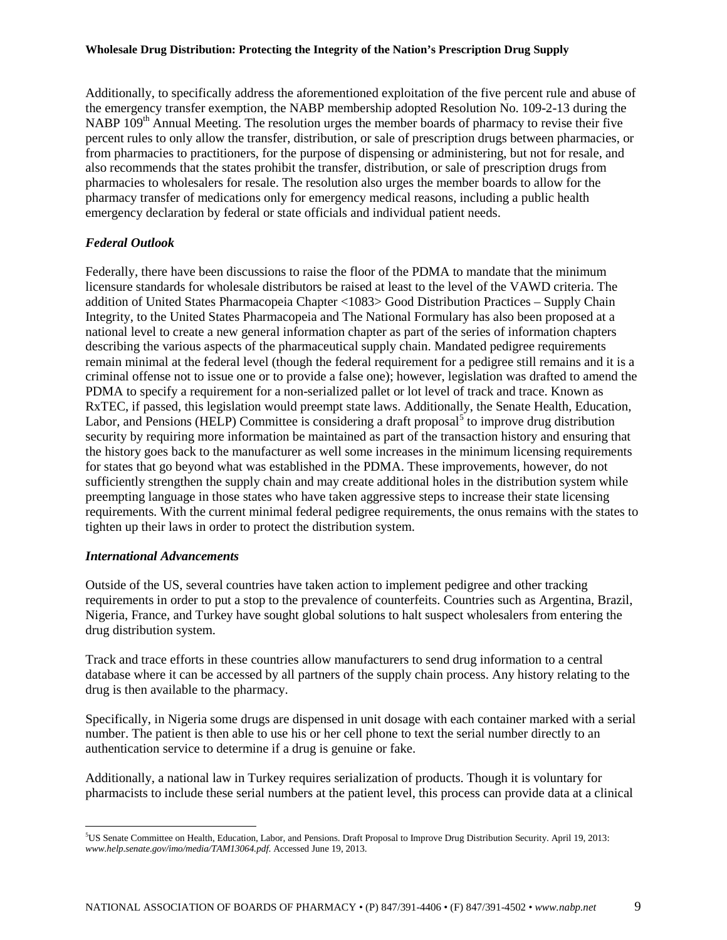Additionally, to specifically address the aforementioned exploitation of the five percent rule and abuse of the emergency transfer exemption, the NABP membership adopted Resolution No. 109-2-13 during the NABP  $109<sup>th</sup>$  Annual Meeting. The resolution urges the member boards of pharmacy to revise their five percent rules to only allow the transfer, distribution, or sale of prescription drugs between pharmacies, or from pharmacies to practitioners, for the purpose of dispensing or administering, but not for resale, and also recommends that the states prohibit the transfer, distribution, or sale of prescription drugs from pharmacies to wholesalers for resale. The resolution also urges the member boards to allow for the pharmacy transfer of medications only for emergency medical reasons, including a public health emergency declaration by federal or state officials and individual patient needs.

### *Federal Outlook*

Federally, there have been discussions to raise the floor of the PDMA to mandate that the minimum licensure standards for wholesale distributors be raised at least to the level of the VAWD criteria. The addition of United States Pharmacopeia Chapter <1083> Good Distribution Practices – Supply Chain Integrity, to the United States Pharmacopeia and The National Formulary has also been proposed at a national level to create a new general information chapter as part of the series of information chapters describing the various aspects of the pharmaceutical supply chain. Mandated pedigree requirements remain minimal at the federal level (though the federal requirement for a pedigree still remains and it is a criminal offense not to issue one or to provide a false one); however, legislation was drafted to amend the PDMA to specify a requirement for a non-serialized pallet or lot level of track and trace. Known as RxTEC, if passed, this legislation would preempt state laws. Additionally, the Senate Health, Education, Labor, and Pensions (HELP) Committee is considering a draft proposal<sup>[5](#page-6-0)</sup> to improve drug distribution security by requiring more information be maintained as part of the transaction history and ensuring that the history goes back to the manufacturer as well some increases in the minimum licensing requirements for states that go beyond what was established in the PDMA. These improvements, however, do not sufficiently strengthen the supply chain and may create additional holes in the distribution system while preempting language in those states who have taken aggressive steps to increase their state licensing requirements. With the current minimal federal pedigree requirements, the onus remains with the states to tighten up their laws in order to protect the distribution system.

### *International Advancements*

Outside of the US, several countries have taken action to implement pedigree and other tracking requirements in order to put a stop to the prevalence of counterfeits. Countries such as Argentina, Brazil, Nigeria, France, and Turkey have sought global solutions to halt suspect wholesalers from entering the drug distribution system.

Track and trace efforts in these countries allow manufacturers to send drug information to a central database where it can be accessed by all partners of the supply chain process. Any history relating to the drug is then available to the pharmacy.

Specifically, in Nigeria some drugs are dispensed in unit dosage with each container marked with a serial number. The patient is then able to use his or her cell phone to text the serial number directly to an authentication service to determine if a drug is genuine or fake.

<span id="page-8-0"></span>Additionally, a national law in Turkey requires serialization of products. Though it is voluntary for pharmacists to include these serial numbers at the patient level, this process can provide data at a clinical

 $\overline{\phantom{a}}$ 5 US Senate Committee on Health, Education, Labor, and Pensions. Draft Proposal to Improve Drug Distribution Security. April 19, 2013: *www.help.senate.gov/imo/media/TAM13064.pdf*. Accessed June 19, 2013.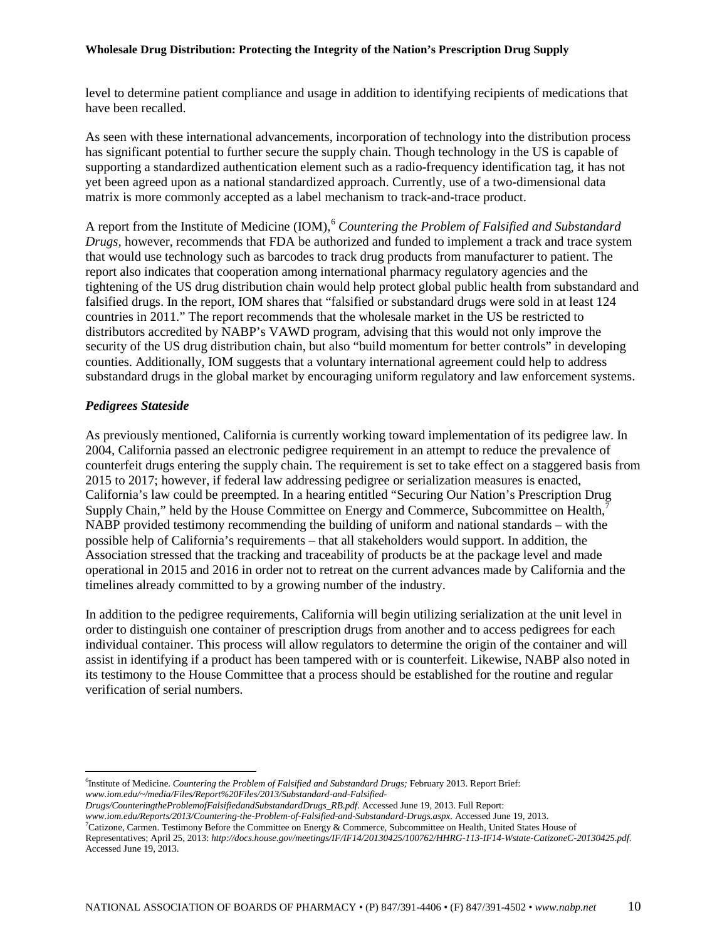level to determine patient compliance and usage in addition to identifying recipients of medications that have been recalled.

As seen with these international advancements, incorporation of technology into the distribution process has significant potential to further secure the supply chain. Though technology in the US is capable of supporting a standardized authentication element such as a radio-frequency identification tag, it has not yet been agreed upon as a national standardized approach. Currently, use of a two-dimensional data matrix is more commonly accepted as a label mechanism to track-and-trace product.

A report from the Institute of Medicine (IOM), [6](#page-8-0) *Countering the Problem of Falsified and Substandard Drugs,* however, recommends that FDA be authorized and funded to implement a track and trace system that would use technology such as barcodes to track drug products from manufacturer to patient. The report also indicates that cooperation among international pharmacy regulatory agencies and the tightening of the US drug distribution chain would help protect global public health from substandard and falsified drugs. In the report, IOM shares that "falsified or substandard drugs were sold in at least 124 countries in 2011." The report recommends that the wholesale market in the US be restricted to distributors accredited by NABP's VAWD program, advising that this would not only improve the security of the US drug distribution chain, but also "build momentum for better controls" in developing counties. Additionally, IOM suggests that a voluntary international agreement could help to address substandard drugs in the global market by encouraging uniform regulatory and law enforcement systems.

### *Pedigrees Stateside*

As previously mentioned, California is currently working toward implementation of its pedigree law. In 2004, California passed an electronic pedigree requirement in an attempt to reduce the prevalence of counterfeit drugs entering the supply chain. The requirement is set to take effect on a staggered basis from 2015 to 2017; however, if federal law addressing pedigree or serialization measures is enacted, California's law could be preempted. In a hearing entitled "Securing Our Nation's Prescription Drug Supply Chain," held by the House Committee on Energy and Commerce, Subcommittee on Health, $\bar{j}$ NABP provided testimony recommending the building of uniform and national standards – with the possible help of California's requirements – that all stakeholders would support. In addition, the Association stressed that the tracking and traceability of products be at the package level and made operational in 2015 and 2016 in order not to retreat on the current advances made by California and the timelines already committed to by a growing number of the industry.

In addition to the pedigree requirements, California will begin utilizing serialization at the unit level in order to distinguish one container of prescription drugs from another and to access pedigrees for each individual container. This process will allow regulators to determine the origin of the container and will assist in identifying if a product has been tampered with or is counterfeit. Likewise, NABP also noted in its testimony to the House Committee that a process should be established for the routine and regular verification of serial numbers.

 $\overline{\phantom{a}}$ 6 Institute of Medicine. *Countering the Problem of Falsified and Substandard Drugs;* February 2013. Report Brief: *www.iom.edu/~/media/Files/Report%20Files/2013/Substandard-and-Falsified-*

*www.iom.edu/Reports/2013/Countering-the-Problem-of-Falsified-and-Substandard-Drugs.aspx.* Accessed June 19, 2013.

<span id="page-9-0"></span><sup>7</sup>Catizone, Carmen. Testimony Before the Committee on Energy & Commerce, Subcommittee on Health, United States House of Representatives; April 25, 2013: *http://docs.house.gov/meetings/IF/IF14/20130425/100762/HHRG-113-IF14-Wstate-CatizoneC-20130425.pdf.* Accessed June 19, 2013.

*Drugs/CounteringtheProblemofFalsifiedandSubstandardDrugs\_RB.pdf.* Accessed June 19, 2013. Full Report: